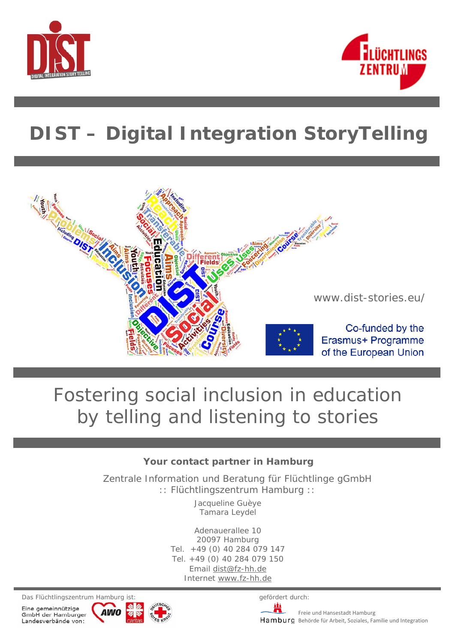



# **DIST – Digital Integration StoryTelling**



# Fostering social inclusion in education by telling and listening to stories

### **Your contact partner in Hamburg**

Zentrale Information und Beratung für Flüchtlinge gGmbH :: Flüchtlingszentrum Hamburg ::

> Jacqueline Guèye Tamara Leydel

Adenauerallee 10 20097 Hamburg Tel. +49 (0) 40 284 079 147 Tel. +49 (0) 40 284 079 150 Email dist@fz-hh.de Internet www.fz-hh.de

Das Flüchtlingszentrum Hamburg ist:

Eine gemeinnützige GmbH der Hamburger Landesverbände von:



gefördert durch:

Freie und Hansestadt Hamburg Hamburg Behörde für Arbeit, Soziales, Familie und Integration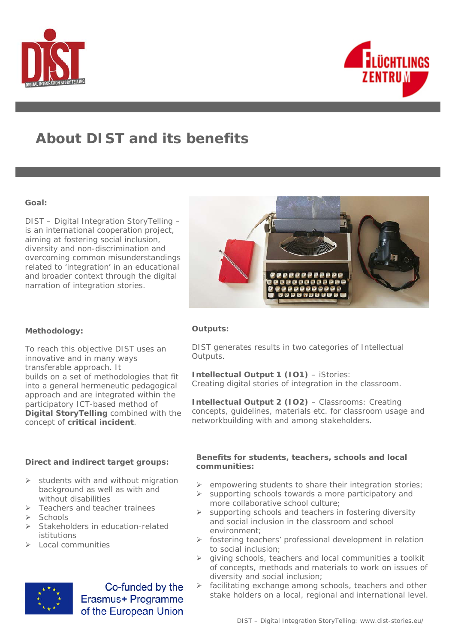



# **About DIST and its benefits**

### **Goal:**

DIST – Digital Integration StoryTelling – is an international cooperation project, aiming at fostering social inclusion, diversity and non-discrimination and overcoming common misunderstandings related to 'integration' in an educational and broader context through the digital narration of integration stories.



### **Methodology:**

To reach this objective DIST uses an innovative and in many ways transferable approach. It builds on a set of methodologies that fit into a general hermeneutic pedagogical approach and are integrated within the participatory ICT-based method of **Digital StoryTelling** combined with the concept of **critical incident**.

### **Direct and indirect target groups:**

- $\triangleright$  students with and without migration background as well as with and without disabilities
- Teachers and teacher trainees
- Schools
- Stakeholders in education-related istitutions
- Local communities



Co-funded by the Erasmus+ Programme of the European Union

### **Outputs:**

DIST generates results in two categories of Intellectual Outputs.

**Intellectual Output 1 (IO1)** – iStories: Creating digital stories of integration in the classroom.

**Intellectual Output 2 (IO2)** – Classrooms: Creating concepts, guidelines, materials etc. for classroom usage and networkbuilding with and among stakeholders.

### **Benefits for students, teachers, schools and local communities:**

- $\triangleright$  empowering students to share their integration stories;
- $\triangleright$  supporting schools towards a more participatory and more collaborative school culture;
- $\triangleright$  supporting schools and teachers in fostering diversity and social inclusion in the classroom and school environment;
- $\triangleright$  fostering teachers' professional development in relation to social inclusion;
- $\triangleright$  giving schools, teachers and local communities a toolkit of concepts, methods and materials to work on issues of diversity and social inclusion;
- $\triangleright$  facilitating exchange among schools, teachers and other stake holders on a local, regional and international level.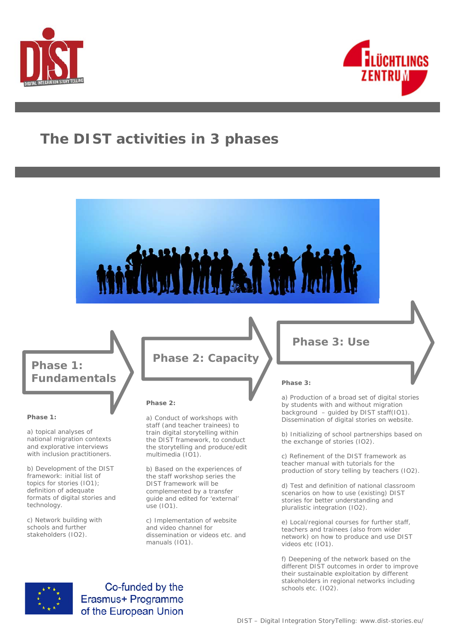



# **The DIST activities in 3 phases**



### **Phase 1: Fundamentals**

#### **Phase 1:**

a) topical analyses of national migration contexts and explorative interviews with inclusion practitioners.

b) Development of the DIST framework: initial list of topics for stories (IO1); definition of adequate formats of digital stories and technology.

c) Network building with schools and further stakeholders (IO2).

## **Phase 2: Capacity**

#### **Phase 2:**

a) Conduct of workshops with staff (and teacher trainees) to train digital storytelling within the DIST framework, to conduct the storytelling and produce/edit multimedia (IO1).

b) Based on the experiences of the staff workshop series the DIST framework will be complemented by a transfer guide and edited for 'external' use (IO1).

c) Implementation of website and video channel for dissemination or videos etc. and manuals (IO1).

### **Phase 3: Use**

#### **Phase 3:**

a) Production of a broad set of digital stories by students with and without migration background – guided by DIST staff(IO1). Dissemination of digital stories on website.

b) Initializing of school partnerships based on the exchange of stories (IO2).

c) Refinement of the DIST framework as teacher manual with tutorials for the production of story telling by teachers (IO2).

d) Test and definition of national classroom scenarios on how to use (existing) DIST stories for better understanding and pluralistic integration (IO2).

e) Local/regional courses for further staff, teachers and trainees (also from wider network) on how to produce and use DIST videos etc (IO1).

f) Deepening of the network based on the different DIST outcomes in order to improve their sustainable exploitation by different stakeholders in regional networks including schools etc. (IO2).



Co-funded by the Erasmus+ Programme of the European Union